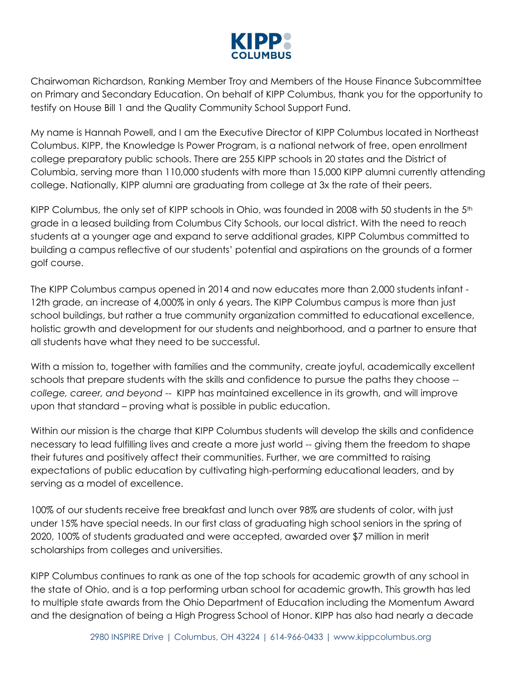

Chairwoman Richardson, Ranking Member Troy and Members of the House Finance Subcommittee on Primary and Secondary Education. On behalf of KIPP Columbus, thank you for the opportunity to testify on House Bill 1 and the Quality Community School Support Fund.

My name is Hannah Powell, and I am the Executive Director of KIPP Columbus located in Northeast Columbus. KIPP, the Knowledge Is Power Program, is a national network of free, open enrollment college preparatory public schools. There are 255 KIPP schools in 20 states and the District of Columbia, serving more than 110,000 students with more than 15,000 KIPP alumni currently attending college. Nationally, KIPP alumni are graduating from college at 3x the rate of their peers.

KIPP Columbus, the only set of KIPP schools in Ohio, was founded in 2008 with 50 students in the 5<sup>th</sup> grade in a leased building from Columbus City Schools, our local district. With the need to reach students at a younger age and expand to serve additional grades, KIPP Columbus committed to building a campus reflective of our students' potential and aspirations on the grounds of a former golf course.

The KIPP Columbus campus opened in 2014 and now educates more than 2,000 students infant - 12th grade, an increase of 4,000% in only 6 years. The KIPP Columbus campus is more than just school buildings, but rather a true community organization committed to educational excellence, holistic growth and development for our students and neighborhood, and a partner to ensure that all students have what they need to be successful.

With a mission to, together with families and the community, create joyful, academically excellent schools that prepare students with the skills and confidence to pursue the paths they choose - *college, career, and beyond* -- KIPP has maintained excellence in its growth, and will improve upon that standard – proving what is possible in public education.

Within our mission is the charge that KIPP Columbus students will develop the skills and confidence necessary to lead fulfilling lives and create a more just world -- giving them the freedom to shape their futures and positively affect their communities. Further, we are committed to raising expectations of public education by cultivating high-performing educational leaders, and by serving as a model of excellence.

100% of our students receive free breakfast and lunch over 98% are students of color, with just under 15% have special needs. In our first class of graduating high school seniors in the spring of 2020, 100% of students graduated and were accepted, awarded over \$7 million in merit scholarships from colleges and universities.

KIPP Columbus continues to rank as one of the top schools for academic growth of any school in the state of Ohio, and is a top performing urban school for academic growth. This growth has led to multiple state awards from the Ohio Department of Education including the Momentum Award and the designation of being a High Progress School of Honor. KIPP has also had nearly a decade